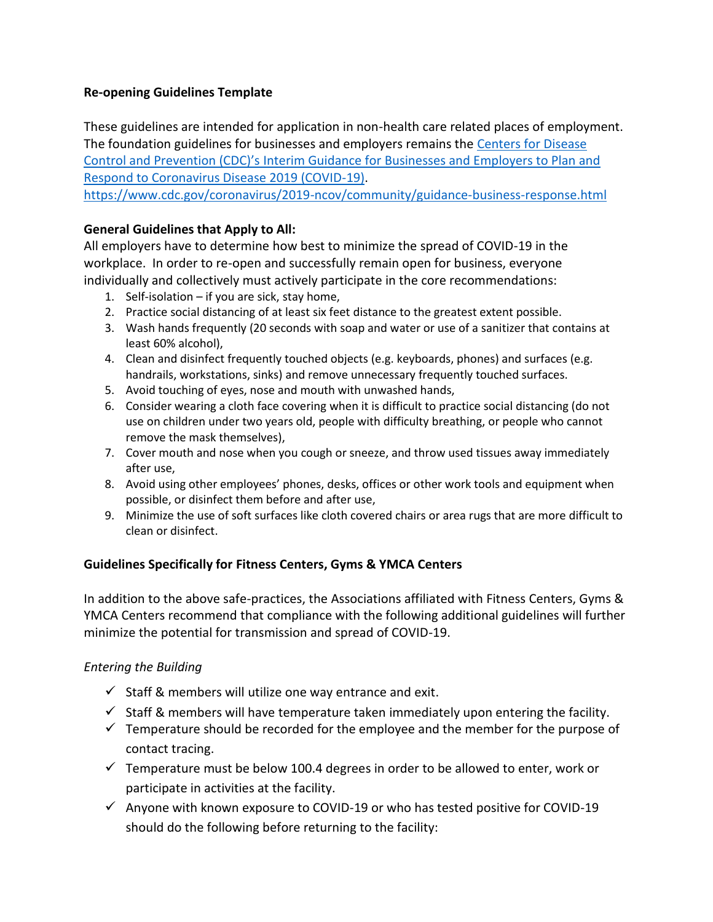#### **Re-opening Guidelines Template**

These guidelines are intended for application in non-health care related places of employment. The foundation guidelines for businesses and employers remains the [Centers for Disease](https://www.cdc.gov/coronavirus/2019-ncov/community/guidance-business-response.html)  Control and Prevention (CDC)'s [Interim Guidance for Businesses and Employers to Plan and](https://www.cdc.gov/coronavirus/2019-ncov/community/guidance-business-response.html)  [Respond to Coronavirus Disease 2019 \(COVID-19\).](https://www.cdc.gov/coronavirus/2019-ncov/community/guidance-business-response.html) <https://www.cdc.gov/coronavirus/2019-ncov/community/guidance-business-response.html>

#### **General Guidelines that Apply to All:**

All employers have to determine how best to minimize the spread of COVID-19 in the workplace. In order to re-open and successfully remain open for business, everyone individually and collectively must actively participate in the core recommendations:

- 1. Self-isolation if you are sick, stay home,
- 2. Practice social distancing of at least six feet distance to the greatest extent possible.
- 3. Wash hands frequently (20 seconds with soap and water or use of a sanitizer that contains at least 60% alcohol),
- 4. Clean and disinfect frequently touched objects (e.g. keyboards, phones) and surfaces (e.g. handrails, workstations, sinks) and remove unnecessary frequently touched surfaces.
- 5. Avoid touching of eyes, nose and mouth with unwashed hands,
- 6. Consider wearing a cloth face covering when it is difficult to practice social distancing (do not use on children under two years old, people with difficulty breathing, or people who cannot remove the mask themselves),
- 7. Cover mouth and nose when you cough or sneeze, and throw used tissues away immediately after use,
- 8. Avoid using other employees' phones, desks, offices or other work tools and equipment when possible, or disinfect them before and after use,
- 9. Minimize the use of soft surfaces like cloth covered chairs or area rugs that are more difficult to clean or disinfect.

### **Guidelines Specifically for Fitness Centers, Gyms & YMCA Centers**

In addition to the above safe-practices, the Associations affiliated with Fitness Centers, Gyms & YMCA Centers recommend that compliance with the following additional guidelines will further minimize the potential for transmission and spread of COVID-19.

### *Entering the Building*

- $\checkmark$  Staff & members will utilize one way entrance and exit.
- $\checkmark$  Staff & members will have temperature taken immediately upon entering the facility.
- $\checkmark$  Temperature should be recorded for the employee and the member for the purpose of contact tracing.
- $\checkmark$  Temperature must be below 100.4 degrees in order to be allowed to enter, work or participate in activities at the facility.
- $\checkmark$  Anyone with known exposure to COVID-19 or who has tested positive for COVID-19 should do the following before returning to the facility: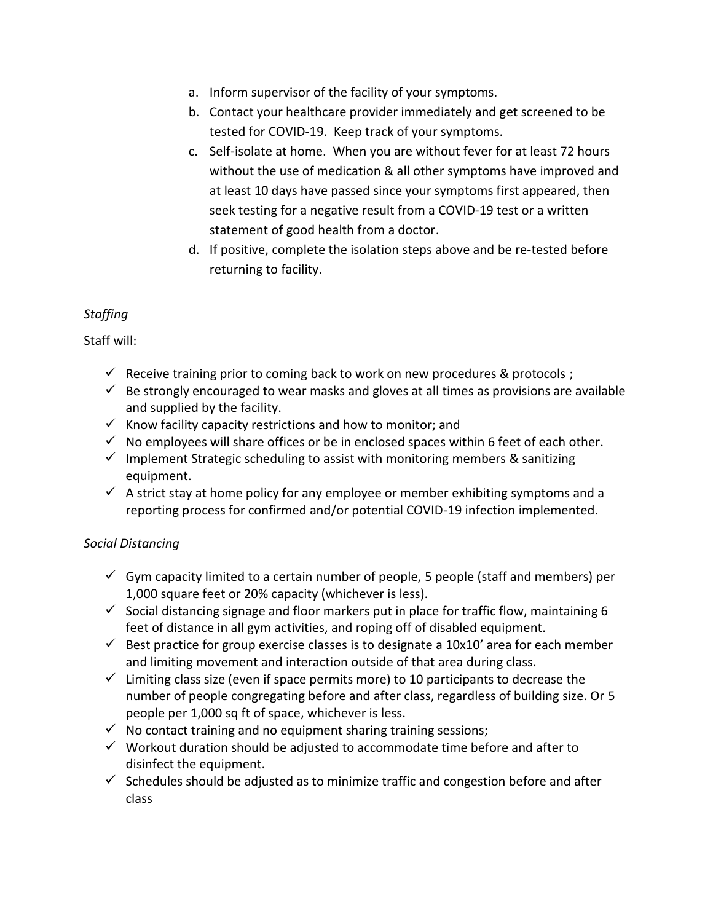- a. Inform supervisor of the facility of your symptoms.
- b. Contact your healthcare provider immediately and get screened to be tested for COVID-19. Keep track of your symptoms.
- c. Self-isolate at home. When you are without fever for at least 72 hours without the use of medication & all other symptoms have improved and at least 10 days have passed since your symptoms first appeared, then seek testing for a negative result from a COVID-19 test or a written statement of good health from a doctor.
- d. If positive, complete the isolation steps above and be re-tested before returning to facility.

# *Staffing*

Staff will:

- $\checkmark$  Receive training prior to coming back to work on new procedures & protocols ;
- $\checkmark$  Be strongly encouraged to wear masks and gloves at all times as provisions are available and supplied by the facility.
- $\checkmark$  Know facility capacity restrictions and how to monitor; and
- $\checkmark$  No employees will share offices or be in enclosed spaces within 6 feet of each other.
- $\checkmark$  Implement Strategic scheduling to assist with monitoring members & sanitizing equipment.
- $\checkmark$  A strict stay at home policy for any employee or member exhibiting symptoms and a reporting process for confirmed and/or potential COVID-19 infection implemented.

# *Social Distancing*

- $\checkmark$  Gym capacity limited to a certain number of people, 5 people (staff and members) per 1,000 square feet or 20% capacity (whichever is less).
- $\checkmark$  Social distancing signage and floor markers put in place for traffic flow, maintaining 6 feet of distance in all gym activities, and roping off of disabled equipment.
- $\checkmark$  Best practice for group exercise classes is to designate a 10x10' area for each member and limiting movement and interaction outside of that area during class.
- $\checkmark$  Limiting class size (even if space permits more) to 10 participants to decrease the number of people congregating before and after class, regardless of building size. Or 5 people per 1,000 sq ft of space, whichever is less.
- $\checkmark$  No contact training and no equipment sharing training sessions;
- $\checkmark$  Workout duration should be adjusted to accommodate time before and after to disinfect the equipment.
- $\checkmark$  Schedules should be adjusted as to minimize traffic and congestion before and after class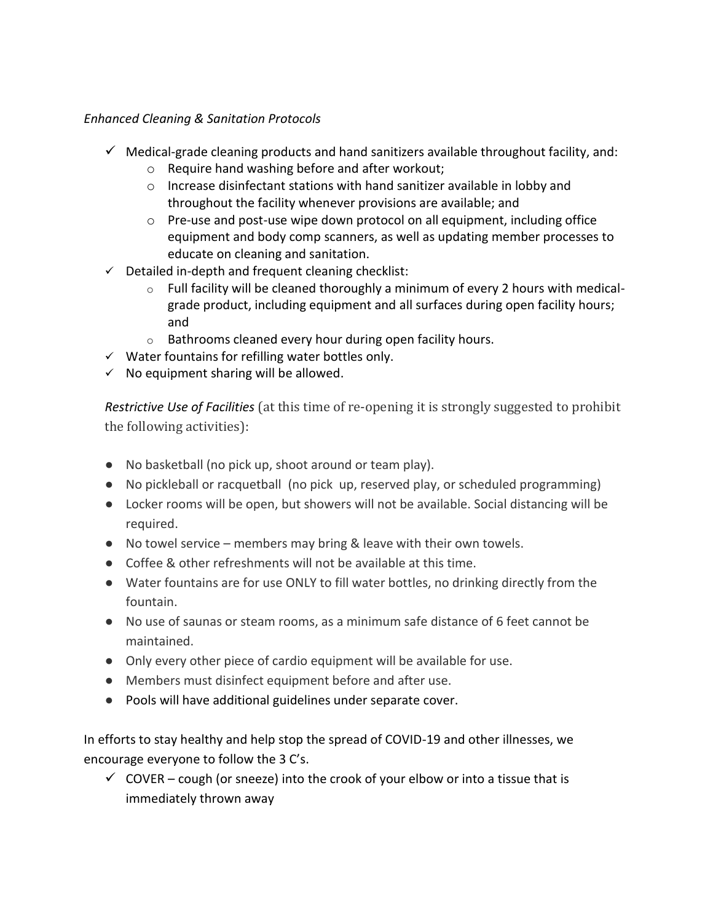## *Enhanced Cleaning & Sanitation Protocols*

- $\checkmark$  Medical-grade cleaning products and hand sanitizers available throughout facility, and:
	- o Require hand washing before and after workout;
	- o Increase disinfectant stations with hand sanitizer available in lobby and throughout the facility whenever provisions are available; and
	- $\circ$  Pre-use and post-use wipe down protocol on all equipment, including office equipment and body comp scanners, as well as updating member processes to educate on cleaning and sanitation.
- $\checkmark$  Detailed in-depth and frequent cleaning checklist:
	- $\circ$  Full facility will be cleaned thoroughly a minimum of every 2 hours with medicalgrade product, including equipment and all surfaces during open facility hours; and
	- o Bathrooms cleaned every hour during open facility hours.
- $\checkmark$  Water fountains for refilling water bottles only.
- $\checkmark$  No equipment sharing will be allowed.

*Restrictive Use of Facilities* (at this time of re-opening it is strongly suggested to prohibit the following activities):

- No basketball (no pick up, shoot around or team play).
- No pickleball or racquetball (no pick up, reserved play, or scheduled programming)
- Locker rooms will be open, but showers will not be available. Social distancing will be required.
- No towel service members may bring & leave with their own towels.
- Coffee & other refreshments will not be available at this time.
- Water fountains are for use ONLY to fill water bottles, no drinking directly from the fountain.
- No use of saunas or steam rooms, as a minimum safe distance of 6 feet cannot be maintained.
- Only every other piece of cardio equipment will be available for use.
- Members must disinfect equipment before and after use.
- Pools will have additional guidelines under separate cover.

In efforts to stay healthy and help stop the spread of COVID-19 and other illnesses, we encourage everyone to follow the 3 C's.

 $\checkmark$  COVER – cough (or sneeze) into the crook of your elbow or into a tissue that is immediately thrown away